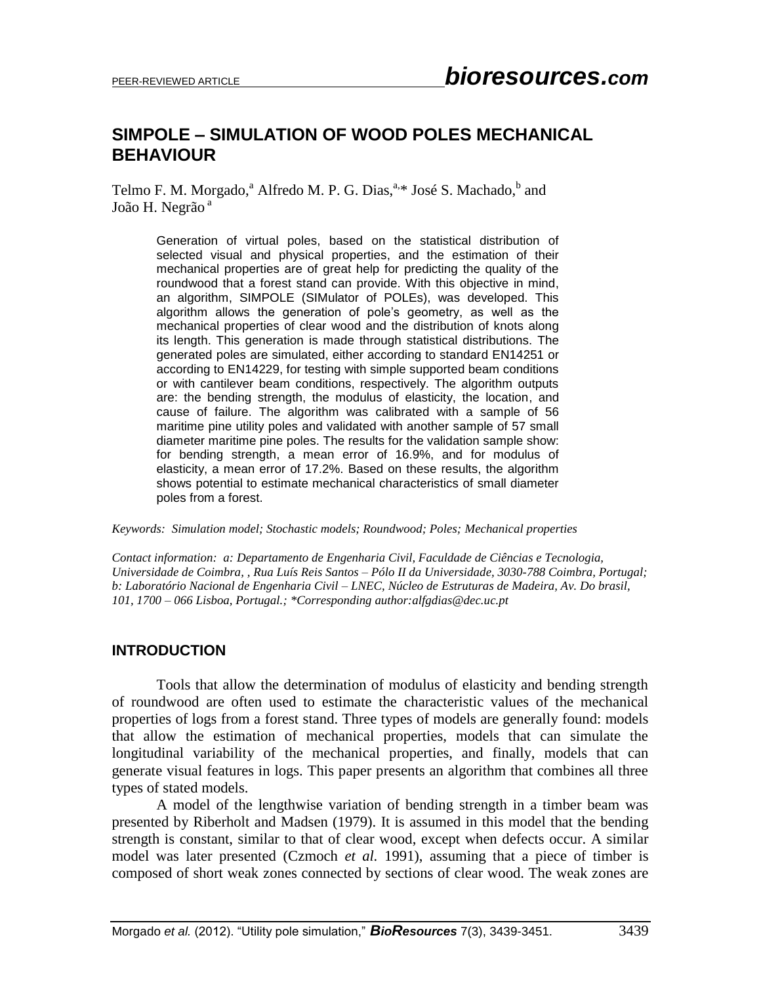# **SIMPOLE – SIMULATION OF WOOD POLES MECHANICAL BEHAVIOUR**

Telmo F. M. Morgado,<sup>a</sup> Alfredo M. P. G. Dias,<sup>a,\*</sup> José S. Machado,<sup>b</sup> and João H. Negrão<sup>a</sup>

> Generation of virtual poles, based on the statistical distribution of selected visual and physical properties, and the estimation of their mechanical properties are of great help for predicting the quality of the roundwood that a forest stand can provide. With this objective in mind, an algorithm, SIMPOLE (SIMulator of POLEs), was developed. This algorithm allows the generation of pole's geometry, as well as the mechanical properties of clear wood and the distribution of knots along its length. This generation is made through statistical distributions. The generated poles are simulated, either according to standard EN14251 or according to EN14229, for testing with simple supported beam conditions or with cantilever beam conditions, respectively. The algorithm outputs are: the bending strength, the modulus of elasticity, the location, and cause of failure. The algorithm was calibrated with a sample of 56 maritime pine utility poles and validated with another sample of 57 small diameter maritime pine poles. The results for the validation sample show: for bending strength, a mean error of 16.9%, and for modulus of elasticity, a mean error of 17.2%. Based on these results, the algorithm shows potential to estimate mechanical characteristics of small diameter poles from a forest.

*Keywords: Simulation model; Stochastic models; Roundwood; Poles; Mechanical properties*

*Contact information: a: Departamento de Engenharia Civil, Faculdade de Ciências e Tecnologia, Universidade de Coimbra, , Rua Luís Reis Santos – Pólo II da Universidade, 3030-788 Coimbra, Portugal; b: Laboratório Nacional de Engenharia Civil – LNEC, Núcleo de Estruturas de Madeira, Av. Do brasil, 101, 1700 – 066 Lisboa, Portugal.; \*Corresponding author:alfgdias@dec.uc.pt*

## **INTRODUCTION**

Tools that allow the determination of modulus of elasticity and bending strength of roundwood are often used to estimate the characteristic values of the mechanical properties of logs from a forest stand. Three types of models are generally found: models that allow the estimation of mechanical properties, models that can simulate the longitudinal variability of the mechanical properties, and finally, models that can generate visual features in logs. This paper presents an algorithm that combines all three types of stated models.

A model of the lengthwise variation of bending strength in a timber beam was presented by Riberholt and Madsen (1979). It is assumed in this model that the bending strength is constant, similar to that of clear wood, except when defects occur. A similar model was later presented (Czmoch *et al.* 1991), assuming that a piece of timber is composed of short weak zones connected by sections of clear wood. The weak zones are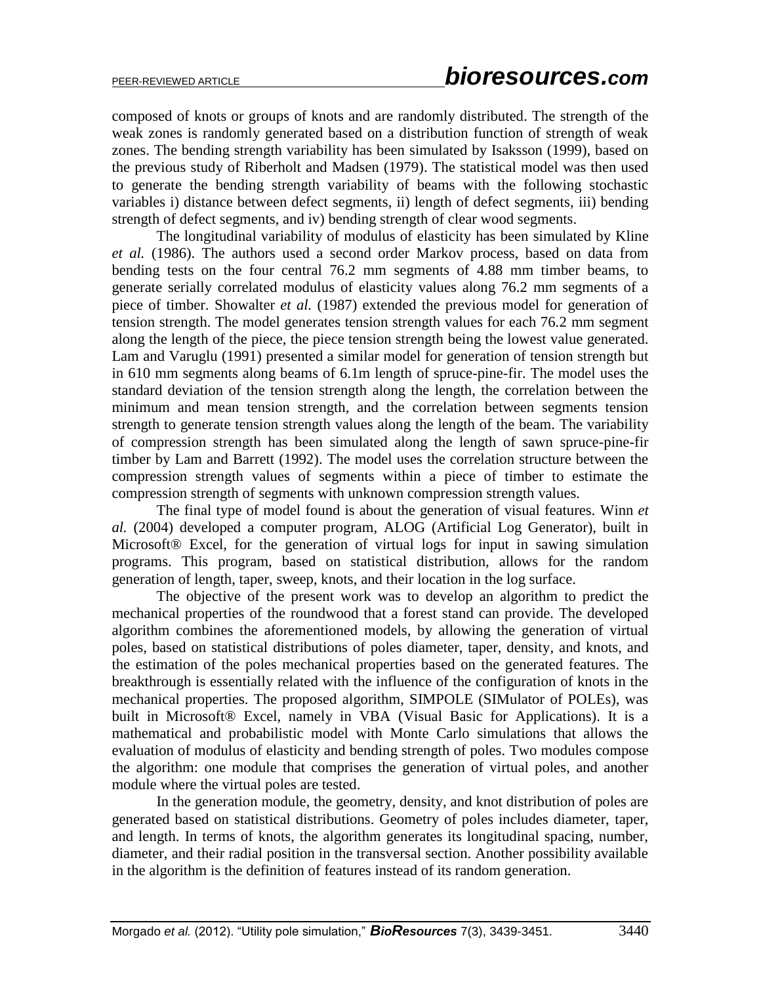composed of knots or groups of knots and are randomly distributed. The strength of the weak zones is randomly generated based on a distribution function of strength of weak zones. The bending strength variability has been simulated by Isaksson (1999), based on the previous study of Riberholt and Madsen (1979). The statistical model was then used to generate the bending strength variability of beams with the following stochastic variables i) distance between defect segments, ii) length of defect segments, iii) bending strength of defect segments, and iv) bending strength of clear wood segments.

The longitudinal variability of modulus of elasticity has been simulated by Kline *et al.* (1986). The authors used a second order Markov process, based on data from bending tests on the four central 76.2 mm segments of 4.88 mm timber beams, to generate serially correlated modulus of elasticity values along 76.2 mm segments of a piece of timber. Showalter *et al.* (1987) extended the previous model for generation of tension strength. The model generates tension strength values for each 76.2 mm segment along the length of the piece, the piece tension strength being the lowest value generated. Lam and Varuglu (1991) presented a similar model for generation of tension strength but in 610 mm segments along beams of 6.1m length of spruce-pine-fir. The model uses the standard deviation of the tension strength along the length, the correlation between the minimum and mean tension strength, and the correlation between segments tension strength to generate tension strength values along the length of the beam. The variability of compression strength has been simulated along the length of sawn spruce-pine-fir timber by Lam and Barrett (1992). The model uses the correlation structure between the compression strength values of segments within a piece of timber to estimate the compression strength of segments with unknown compression strength values.

The final type of model found is about the generation of visual features. Winn *et al.* (2004) developed a computer program, ALOG (Artificial Log Generator), built in Microsoft® Excel, for the generation of virtual logs for input in sawing simulation programs. This program, based on statistical distribution, allows for the random generation of length, taper, sweep, knots, and their location in the log surface.

The objective of the present work was to develop an algorithm to predict the mechanical properties of the roundwood that a forest stand can provide. The developed algorithm combines the aforementioned models, by allowing the generation of virtual poles, based on statistical distributions of poles diameter, taper, density, and knots, and the estimation of the poles mechanical properties based on the generated features. The breakthrough is essentially related with the influence of the configuration of knots in the mechanical properties. The proposed algorithm, SIMPOLE (SIMulator of POLEs), was built in Microsoft® Excel, namely in VBA (Visual Basic for Applications). It is a mathematical and probabilistic model with Monte Carlo simulations that allows the evaluation of modulus of elasticity and bending strength of poles. Two modules compose the algorithm: one module that comprises the generation of virtual poles, and another module where the virtual poles are tested.

In the generation module, the geometry, density, and knot distribution of poles are generated based on statistical distributions. Geometry of poles includes diameter, taper, and length. In terms of knots, the algorithm generates its longitudinal spacing, number, diameter, and their radial position in the transversal section. Another possibility available in the algorithm is the definition of features instead of its random generation.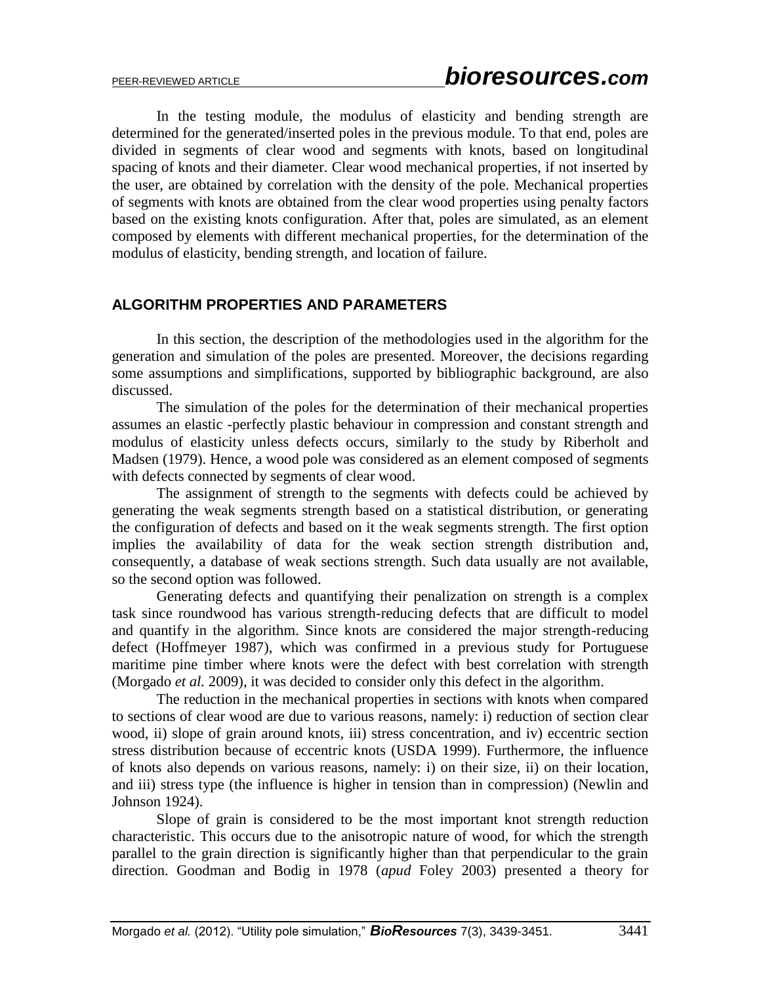In the testing module, the modulus of elasticity and bending strength are determined for the generated/inserted poles in the previous module. To that end, poles are divided in segments of clear wood and segments with knots, based on longitudinal spacing of knots and their diameter. Clear wood mechanical properties, if not inserted by the user, are obtained by correlation with the density of the pole. Mechanical properties of segments with knots are obtained from the clear wood properties using penalty factors based on the existing knots configuration. After that, poles are simulated, as an element composed by elements with different mechanical properties, for the determination of the modulus of elasticity, bending strength, and location of failure.

#### **ALGORITHM PROPERTIES AND PARAMETERS**

In this section, the description of the methodologies used in the algorithm for the generation and simulation of the poles are presented. Moreover, the decisions regarding some assumptions and simplifications, supported by bibliographic background, are also discussed.

The simulation of the poles for the determination of their mechanical properties assumes an elastic -perfectly plastic behaviour in compression and constant strength and modulus of elasticity unless defects occurs, similarly to the study by Riberholt and Madsen (1979). Hence, a wood pole was considered as an element composed of segments with defects connected by segments of clear wood.

The assignment of strength to the segments with defects could be achieved by generating the weak segments strength based on a statistical distribution, or generating the configuration of defects and based on it the weak segments strength. The first option implies the availability of data for the weak section strength distribution and, consequently, a database of weak sections strength. Such data usually are not available, so the second option was followed.

Generating defects and quantifying their penalization on strength is a complex task since roundwood has various strength-reducing defects that are difficult to model and quantify in the algorithm. Since knots are considered the major strength-reducing defect (Hoffmeyer 1987), which was confirmed in a previous study for Portuguese maritime pine timber where knots were the defect with best correlation with strength (Morgado *et al.* 2009), it was decided to consider only this defect in the algorithm.

The reduction in the mechanical properties in sections with knots when compared to sections of clear wood are due to various reasons, namely: i) reduction of section clear wood, ii) slope of grain around knots, iii) stress concentration, and iv) eccentric section stress distribution because of eccentric knots (USDA 1999). Furthermore, the influence of knots also depends on various reasons, namely: i) on their size, ii) on their location, and iii) stress type (the influence is higher in tension than in compression) (Newlin and Johnson 1924).

Slope of grain is considered to be the most important knot strength reduction characteristic. This occurs due to the anisotropic nature of wood, for which the strength parallel to the grain direction is significantly higher than that perpendicular to the grain direction. Goodman and Bodig in 1978 (*apud* Foley 2003) presented a theory for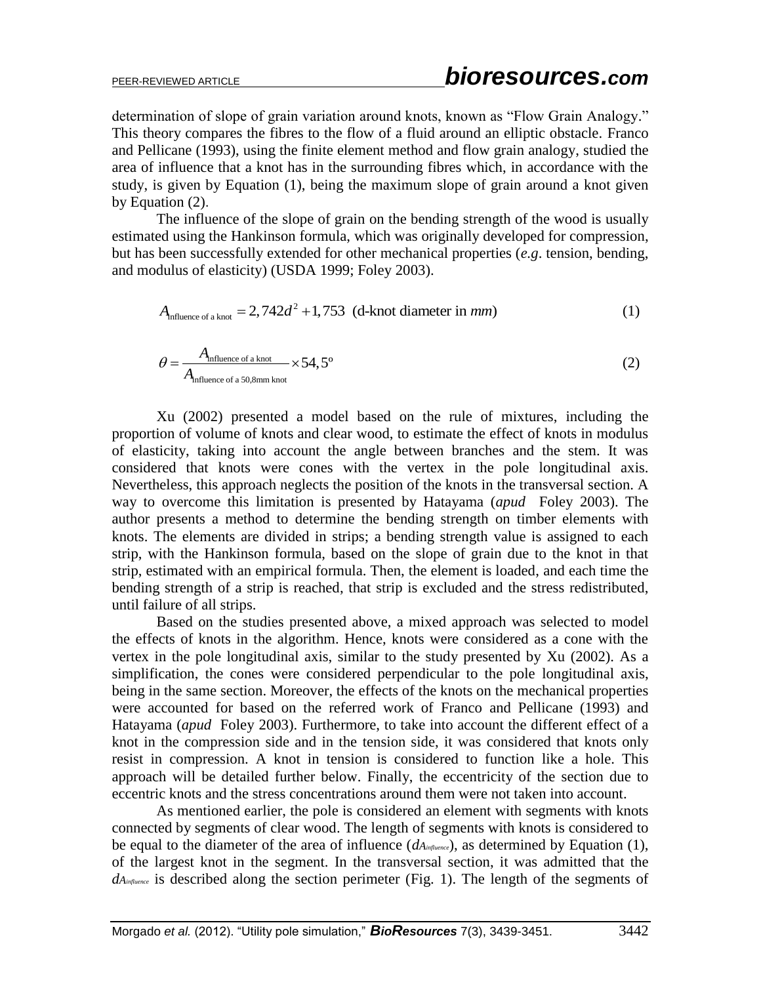determination of slope of grain variation around knots, known as "Flow Grain Analogy." This theory compares the fibres to the flow of a fluid around an elliptic obstacle. Franco and Pellicane (1993), using the finite element method and flow grain analogy, studied the area of influence that a knot has in the surrounding fibres which, in accordance with the study, is given by Equation (1), being the maximum slope of grain around a knot given by Equation (2).

The influence of the slope of grain on the bending strength of the wood is usually estimated using the Hankinson formula, which was originally developed for compression, but has been successfully extended for other mechanical properties (*e.g*. tension, bending, and modulus of elasticity) (USDA 1999; Foley 2003).<br>  $A_{\text{influence of a knot}} = 2,742d^2 + 1,753$  (d-knot diameter in *mm*)

$$
A_{\text{influence of a knot}} = 2,742d^2 + 1,753 \text{ (d-knot diameter in } mm)
$$
 (1)

$$
\theta = \frac{A_{\text{influence of a knot}}}{A_{\text{influence of a 50,8mm knot}}} \times 54,5^{\circ}
$$
 (2)

Xu (2002) presented a model based on the rule of mixtures, including the proportion of volume of knots and clear wood, to estimate the effect of knots in modulus of elasticity, taking into account the angle between branches and the stem. It was considered that knots were cones with the vertex in the pole longitudinal axis. Nevertheless, this approach neglects the position of the knots in the transversal section. A way to overcome this limitation is presented by Hatayama (*apud* Foley 2003). The author presents a method to determine the bending strength on timber elements with knots. The elements are divided in strips; a bending strength value is assigned to each strip, with the Hankinson formula, based on the slope of grain due to the knot in that strip, estimated with an empirical formula. Then, the element is loaded, and each time the bending strength of a strip is reached, that strip is excluded and the stress redistributed, until failure of all strips.

Based on the studies presented above, a mixed approach was selected to model the effects of knots in the algorithm. Hence, knots were considered as a cone with the vertex in the pole longitudinal axis, similar to the study presented by Xu (2002). As a simplification, the cones were considered perpendicular to the pole longitudinal axis, being in the same section. Moreover, the effects of the knots on the mechanical properties were accounted for based on the referred work of Franco and Pellicane (1993) and Hatayama (*apud* Foley 2003). Furthermore, to take into account the different effect of a knot in the compression side and in the tension side, it was considered that knots only resist in compression. A knot in tension is considered to function like a hole. This approach will be detailed further below. Finally, the eccentricity of the section due to eccentric knots and the stress concentrations around them were not taken into account.

As mentioned earlier, the pole is considered an element with segments with knots connected by segments of clear wood. The length of segments with knots is considered to be equal to the diameter of the area of influence (*dAinfluence*), as determined by Equation (1), of the largest knot in the segment. In the transversal section, it was admitted that the *dA influence* is described along the section perimeter (Fig. 1). The length of the segments of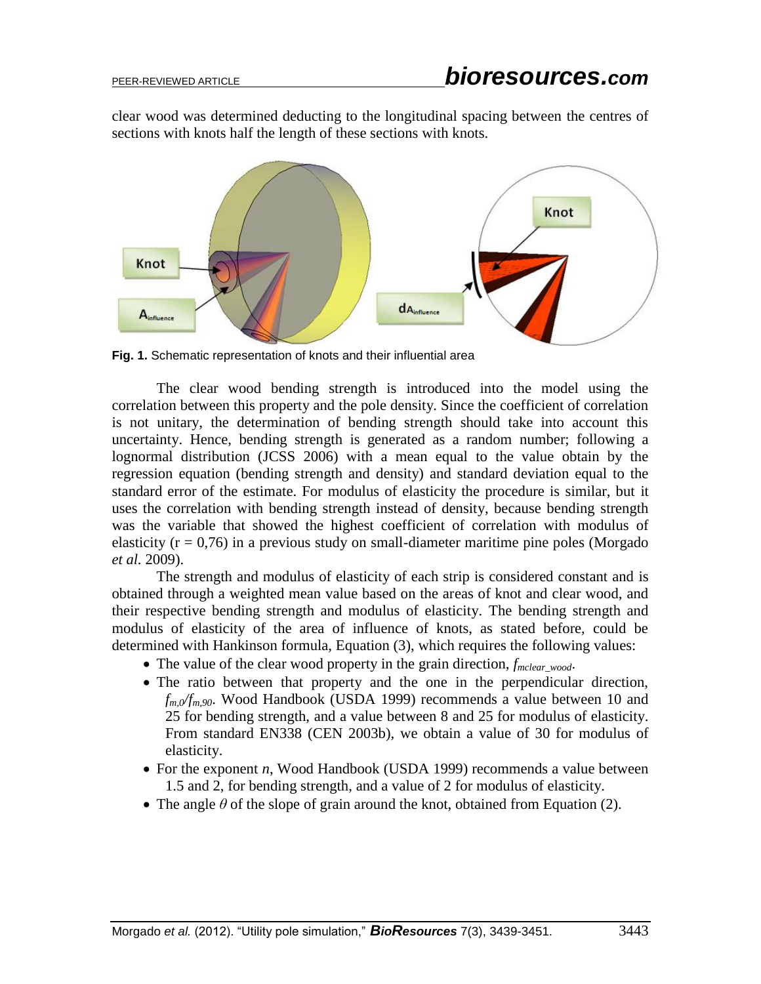clear wood was determined deducting to the longitudinal spacing between the centres of sections with knots half the length of these sections with knots.



**Fig. 1.** Schematic representation of knots and their influential area

The clear wood bending strength is introduced into the model using the correlation between this property and the pole density. Since the coefficient of correlation is not unitary, the determination of bending strength should take into account this uncertainty. Hence, bending strength is generated as a random number; following a lognormal distribution (JCSS 2006) with a mean equal to the value obtain by the regression equation (bending strength and density) and standard deviation equal to the standard error of the estimate. For modulus of elasticity the procedure is similar, but it uses the correlation with bending strength instead of density, because bending strength was the variable that showed the highest coefficient of correlation with modulus of elasticity ( $r = 0.76$ ) in a previous study on small-diameter maritime pine poles (Morgado *et al.* 2009).

The strength and modulus of elasticity of each strip is considered constant and is obtained through a weighted mean value based on the areas of knot and clear wood, and their respective bending strength and modulus of elasticity. The bending strength and modulus of elasticity of the area of influence of knots, as stated before, could be determined with Hankinson formula, Equation (3), which requires the following values:

- The value of the clear wood property in the grain direction, *f<sub>mclear wood*.</sub>
- The ratio between that property and the one in the perpendicular direction, *fm,0/fm,90*. Wood Handbook (USDA 1999) recommends a value between 10 and 25 for bending strength, and a value between 8 and 25 for modulus of elasticity. From standard EN338 (CEN 2003b), we obtain a value of 30 for modulus of elasticity.
- For the exponent *n*, Wood Handbook (USDA 1999) recommends a value between 1.5 and 2, for bending strength, and a value of 2 for modulus of elasticity.
- The angle  $\theta$  of the slope of grain around the knot, obtained from Equation (2).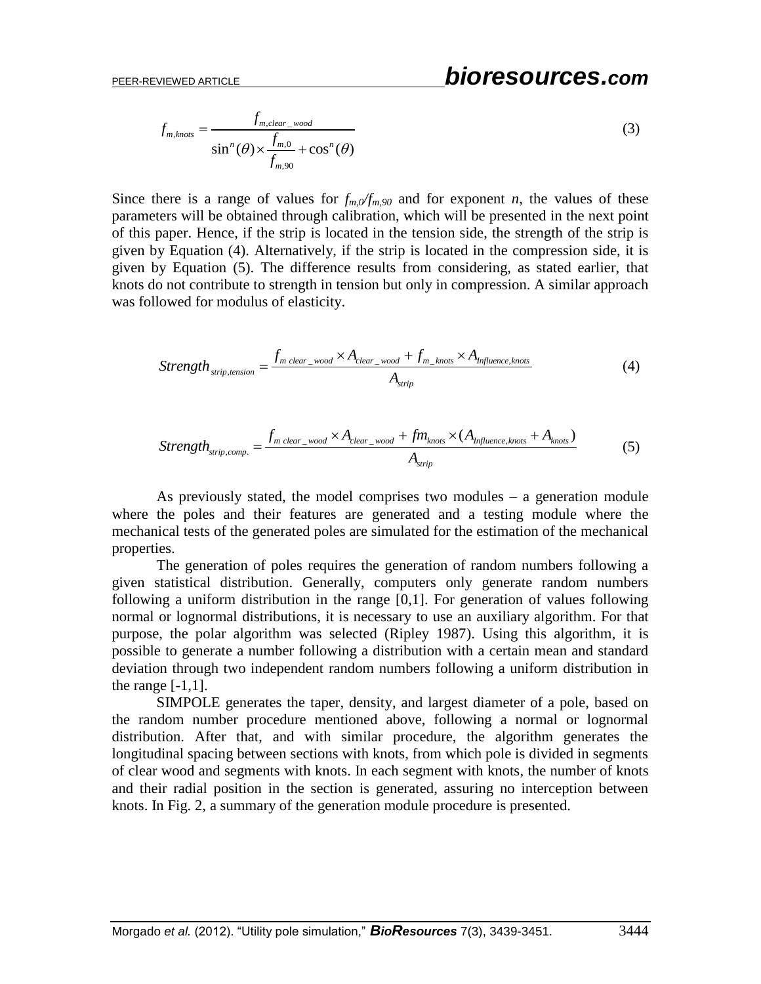# PEER-REVIEWED ARTICLE *bioresources.com*

 $f_{m,clear} = \frac{f_{m,clear}}{\sin^n(A) \times \frac{f_{m,0}}{f_{m,0}}}$ ,90  $\sin^n(\theta) \times \frac{f_{m,0}}{f} + \cos^n(\theta)$ *m clear wood*  $\sum_{m, knots}^{n} = \frac{J_{m,clear\_wood}}{\sin^n(A) \times \frac{f_{m,0}}{f} + \cos^n B}$ *m f*  $f_{m,knots} = \frac{f_{m,clc}}{f_{m}(a)}$  $=\frac{J_{m,clear\_wood}}{\sin^n(\theta) \times \frac{f_{m,0}}{f_{m,90}}} + \cos^n(\theta)$ (3)

Since there is a range of values for  $f_{m,0}/f_{m,90}$  and for exponent *n*, the values of these parameters will be obtained through calibration, which will be presented in the next point of this paper. Hence, if the strip is located in the tension side, the strength of the strip is given by Equation (4). Alternatively, if the strip is located in the compression side, it is given by Equation (5). The difference results from considering, as stated earlier, that knots do not contribute to strength in tension but only in compression. A similar approach was followed for modulus of elasticity.

$$
Strength_{strip, tension} = \frac{f_{m \text{ clear\_wood}} \times A_{clear\_wood} + f_{m\_knots} \times A_{Influence, knots}}{A_{strip}} \tag{4}
$$

$$
Strengh_{strip,comp.} = \frac{f_{m \text{ clear\_wood}} \times A_{clear\_wood} + f m_{knots} \times (A_{Influence, knots} + A_{knots})}{A_{strip}}
$$
(5)

As previously stated, the model comprises two modules  $-$  a generation module where the poles and their features are generated and a testing module where the mechanical tests of the generated poles are simulated for the estimation of the mechanical properties.

The generation of poles requires the generation of random numbers following a given statistical distribution. Generally, computers only generate random numbers following a uniform distribution in the range [0,1]. For generation of values following normal or lognormal distributions, it is necessary to use an auxiliary algorithm. For that purpose, the polar algorithm was selected (Ripley 1987). Using this algorithm, it is possible to generate a number following a distribution with a certain mean and standard deviation through two independent random numbers following a uniform distribution in the range  $[-1,1]$ .

SIMPOLE generates the taper, density, and largest diameter of a pole, based on the random number procedure mentioned above, following a normal or lognormal distribution. After that, and with similar procedure, the algorithm generates the longitudinal spacing between sections with knots, from which pole is divided in segments of clear wood and segments with knots. In each segment with knots, the number of knots and their radial position in the section is generated, assuring no interception between knots. In Fig. 2, a summary of the generation module procedure is presented.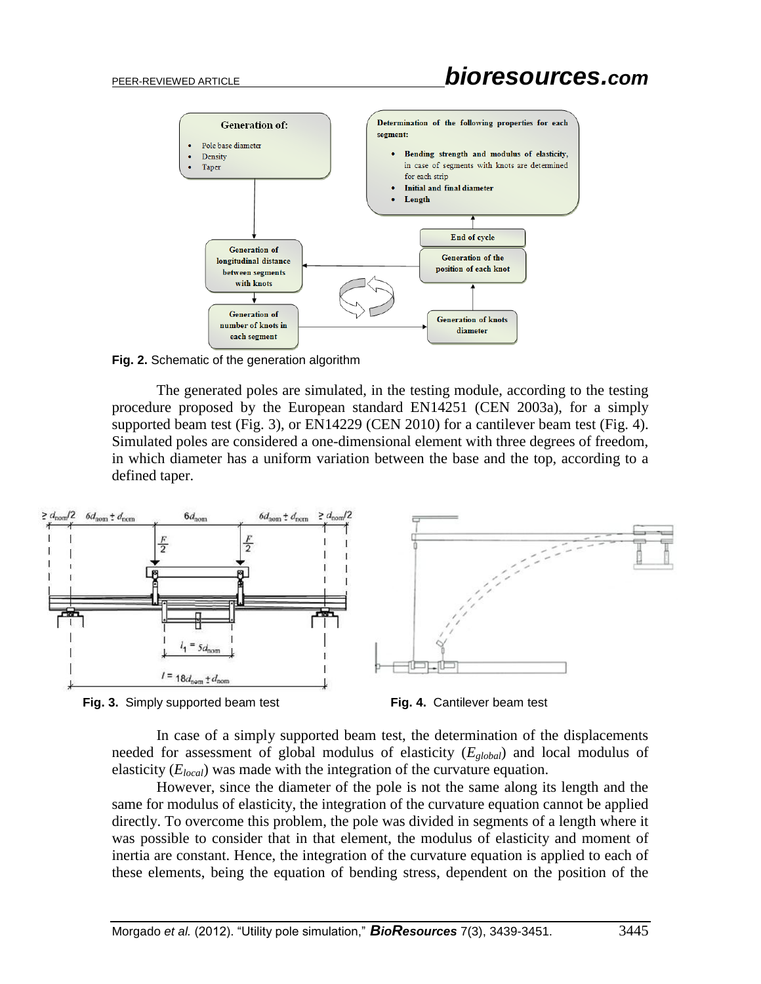

**Fig. 2.** Schematic of the generation algorithm

The generated poles are simulated, in the testing module, according to the testing procedure proposed by the European standard EN14251 (CEN 2003a), for a simply supported beam test (Fig. 3), or EN14229 (CEN 2010) for a cantilever beam test (Fig. 4). Simulated poles are considered a one-dimensional element with three degrees of freedom, in which diameter has a uniform variation between the base and the top, according to a defined taper.







In case of a simply supported beam test, the determination of the displacements needed for assessment of global modulus of elasticity (*Eglobal*) and local modulus of elasticity (*Elocal*) was made with the integration of the curvature equation.

However, since the diameter of the pole is not the same along its length and the same for modulus of elasticity, the integration of the curvature equation cannot be applied directly. To overcome this problem, the pole was divided in segments of a length where it was possible to consider that in that element, the modulus of elasticity and moment of inertia are constant. Hence, the integration of the curvature equation is applied to each of these elements, being the equation of bending stress, dependent on the position of the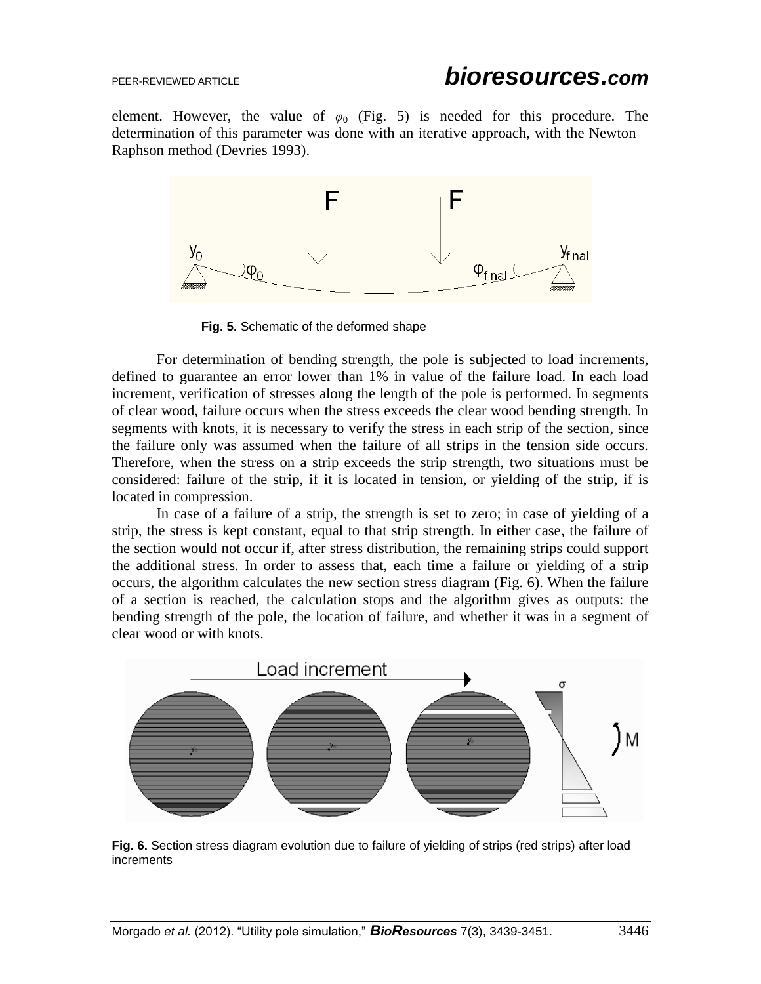element. However, the value of  $\varphi_0$  (Fig. 5) is needed for this procedure. The determination of this parameter was done with an iterative approach, with the Newton – Raphson method (Devries 1993).



**Fig. 5.** Schematic of the deformed shape

For determination of bending strength, the pole is subjected to load increments, defined to guarantee an error lower than 1% in value of the failure load. In each load increment, verification of stresses along the length of the pole is performed. In segments of clear wood, failure occurs when the stress exceeds the clear wood bending strength. In segments with knots, it is necessary to verify the stress in each strip of the section, since the failure only was assumed when the failure of all strips in the tension side occurs. Therefore, when the stress on a strip exceeds the strip strength, two situations must be considered: failure of the strip, if it is located in tension, or yielding of the strip, if is located in compression.

In case of a failure of a strip, the strength is set to zero; in case of yielding of a strip, the stress is kept constant, equal to that strip strength. In either case, the failure of the section would not occur if, after stress distribution, the remaining strips could support the additional stress. In order to assess that, each time a failure or yielding of a strip occurs, the algorithm calculates the new section stress diagram (Fig. 6). When the failure of a section is reached, the calculation stops and the algorithm gives as outputs: the bending strength of the pole, the location of failure, and whether it was in a segment of clear wood or with knots.



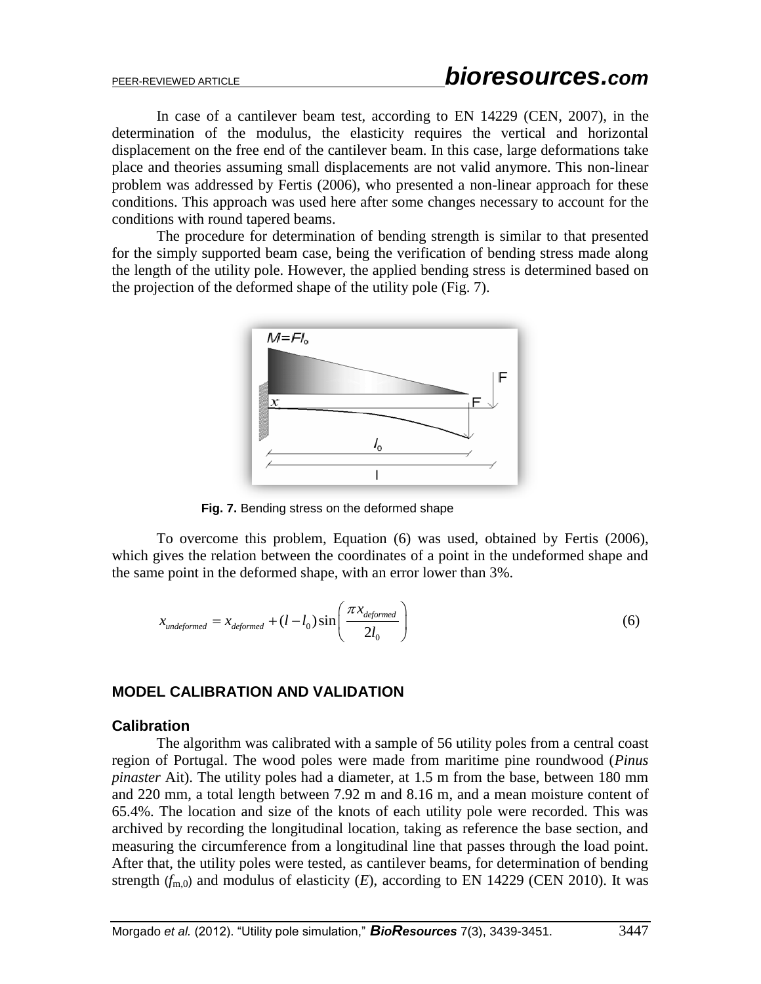In case of a cantilever beam test, according to EN 14229 (CEN, 2007), in the determination of the modulus, the elasticity requires the vertical and horizontal displacement on the free end of the cantilever beam. In this case, large deformations take place and theories assuming small displacements are not valid anymore. This non-linear problem was addressed by Fertis (2006), who presented a non-linear approach for these conditions. This approach was used here after some changes necessary to account for the conditions with round tapered beams.

The procedure for determination of bending strength is similar to that presented for the simply supported beam case, being the verification of bending stress made along the length of the utility pole. However, the applied bending stress is determined based on the projection of the deformed shape of the utility pole (Fig. 7).



**Fig. 7.** Bending stress on the deformed shape

To overcome this problem, Equation (6) was used, obtained by Fertis (2006), which gives the relation between the coordinates of a point in the undeformed shape and the same point in the deformed shape, with an error lower than 3%.

$$
x_{undeformed} = x_{deformed} + (l - l_0) \sin\left(\frac{\pi x_{deformed}}{2l_0}\right)
$$
 (6)

## **MODEL CALIBRATION AND VALIDATION**

#### **Calibration**

The algorithm was calibrated with a sample of 56 utility poles from a central coast region of Portugal. The wood poles were made from maritime pine roundwood (*Pinus pinaster* Ait). The utility poles had a diameter, at 1.5 m from the base, between 180 mm and 220 mm, a total length between 7.92 m and 8.16 m, and a mean moisture content of 65.4%. The location and size of the knots of each utility pole were recorded. This was archived by recording the longitudinal location, taking as reference the base section, and measuring the circumference from a longitudinal line that passes through the load point. After that, the utility poles were tested, as cantilever beams, for determination of bending strength  $(f_{m,0})$  and modulus of elasticity  $(E)$ , according to EN 14229 (CEN 2010). It was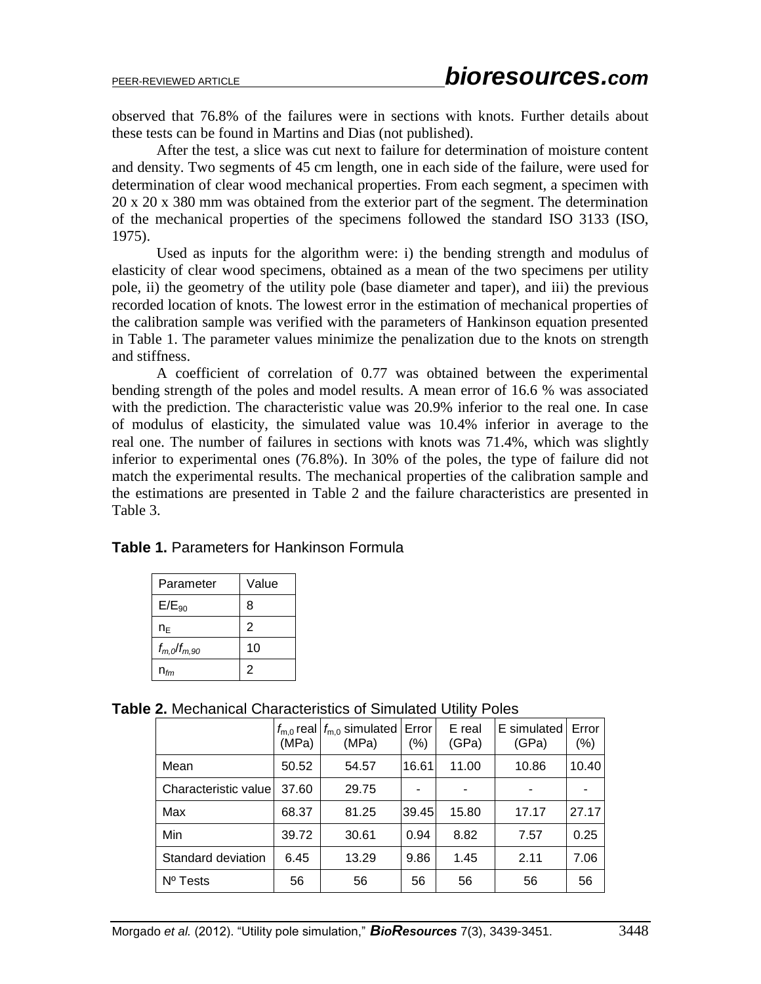observed that 76.8% of the failures were in sections with knots. Further details about these tests can be found in Martins and Dias (not published).

After the test, a slice was cut next to failure for determination of moisture content and density. Two segments of 45 cm length, one in each side of the failure, were used for determination of clear wood mechanical properties. From each segment, a specimen with 20 x 20 x 380 mm was obtained from the exterior part of the segment. The determination of the mechanical properties of the specimens followed the standard ISO 3133 (ISO, 1975).

Used as inputs for the algorithm were: i) the bending strength and modulus of elasticity of clear wood specimens, obtained as a mean of the two specimens per utility pole, ii) the geometry of the utility pole (base diameter and taper), and iii) the previous recorded location of knots. The lowest error in the estimation of mechanical properties of the calibration sample was verified with the parameters of Hankinson equation presented in [Table 1.](#page-9-0) The parameter values minimize the penalization due to the knots on strength and stiffness.

A coefficient of correlation of 0.77 was obtained between the experimental bending strength of the poles and model results. A mean error of 16.6 % was associated with the prediction. The characteristic value was 20.9% inferior to the real one. In case of modulus of elasticity, the simulated value was 10.4% inferior in average to the real one. The number of failures in sections with knots was 71.4%, which was slightly inferior to experimental ones (76.8%). In 30% of the poles, the type of failure did not match the experimental results. The mechanical properties of the calibration sample and the estimations are presented in Table 2 and the failure characteristics are presented in Table 3.

<span id="page-9-0"></span>

|  |  | <b>Table 1. Parameters for Hankinson Formula</b> |  |
|--|--|--------------------------------------------------|--|
|--|--|--------------------------------------------------|--|

| Parameter          | Value          |
|--------------------|----------------|
| $E/E_{90}$         | 8              |
| n⊧                 | $\overline{2}$ |
| $f_{m,0}/f_{m,90}$ | 10             |
| $n_{\text{fm}}$    | $\overline{2}$ |

| Table 2. Mechanical Characteristics of Simulated Utility Poles |  |
|----------------------------------------------------------------|--|
|----------------------------------------------------------------|--|

|                      | $f_{\text{m.0}}$ real<br>(MPa) | $f_{\text{m},0}$ simulated<br>(MPa) | Error<br>(%) | E real<br>(GPa) | E simulated<br>(GPa) | Error<br>(%) |
|----------------------|--------------------------------|-------------------------------------|--------------|-----------------|----------------------|--------------|
| Mean                 | 50.52                          | 54.57                               | 16.61        | 11.00           | 10.86                | 10.40        |
| Characteristic value | 37.60                          | 29.75                               |              |                 | ۰                    |              |
| Max                  | 68.37                          | 81.25                               | 39.45        | 15.80           | 17.17                | 27.17        |
| Min                  | 39.72                          | 30.61                               | 0.94         | 8.82            | 7.57                 | 0.25         |
| Standard deviation   | 6.45                           | 13.29                               | 9.86         | 1.45            | 2.11                 | 7.06         |
| $No$ Tests           | 56                             | 56                                  | 56           | 56              | 56                   | 56           |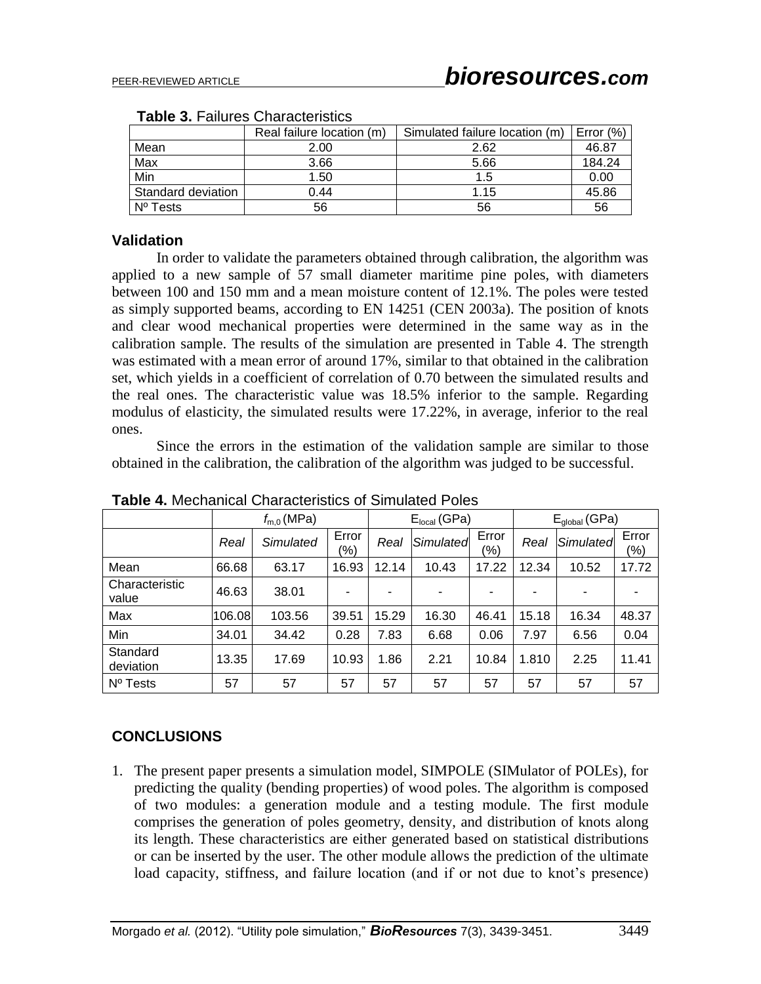|                    | Real failure location (m) | Simulated failure location (m) | Error $(\%)$ |
|--------------------|---------------------------|--------------------------------|--------------|
| Mean               | 2.00                      | 2.62                           | 46.87        |
| Max                | 3.66                      | 5.66                           | 184.24       |
| Min                | 1.50                      | 1.5                            | 0.00         |
| Standard deviation | 0.44                      | 1.15                           | 45.86        |
| $N^{\circ}$ Tests  | 56                        | 56                             | 56           |

#### **Table 3.** Failures Characteristics

#### **Validation**

In order to validate the parameters obtained through calibration, the algorithm was applied to a new sample of 57 small diameter maritime pine poles, with diameters between 100 and 150 mm and a mean moisture content of 12.1%. The poles were tested as simply supported beams, according to EN 14251 (CEN 2003a). The position of knots and clear wood mechanical properties were determined in the same way as in the calibration sample. The results of the simulation are presented in [Table 4.](#page-10-0) The strength was estimated with a mean error of around 17%, similar to that obtained in the calibration set, which yields in a coefficient of correlation of 0.70 between the simulated results and the real ones. The characteristic value was 18.5% inferior to the sample. Regarding modulus of elasticity, the simulated results were 17.22%, in average, inferior to the real ones.

Since the errors in the estimation of the validation sample are similar to those obtained in the calibration, the calibration of the algorithm was judged to be successful.

|                         | $f_{m,0}$ (MPa) |           |              | $Elocal$ (GPa) |           |                  | $E_{global}$ (GPa) |           |              |
|-------------------------|-----------------|-----------|--------------|----------------|-----------|------------------|--------------------|-----------|--------------|
|                         | Real            | Simulated | Error<br>(%) | Real           | Simulated | Error<br>$(\% )$ | Real               | Simulated | Error<br>(%) |
| Mean                    | 66.68           | 63.17     | 16.93        | 12.14          | 10.43     | 17.22            | 12.34              | 10.52     | 17.72        |
| Characteristic<br>value | 46.63           | 38.01     |              |                | -         |                  |                    |           |              |
| Max                     | 106.08          | 103.56    | 39.51        | 15.29          | 16.30     | 46.41            | 15.18              | 16.34     | 48.37        |
| Min                     | 34.01           | 34.42     | 0.28         | 7.83           | 6.68      | 0.06             | 7.97               | 6.56      | 0.04         |
| Standard<br>deviation   | 13.35           | 17.69     | 10.93        | 1.86           | 2.21      | 10.84            | 1.810              | 2.25      | 11.41        |
| Nº Tests                | 57              | 57        | 57           | 57             | 57        | 57               | 57                 | 57        | 57           |

<span id="page-10-0"></span>**Table 4.** Mechanical Characteristics of Simulated Poles

## **CONCLUSIONS**

1. The present paper presents a simulation model, SIMPOLE (SIMulator of POLEs), for predicting the quality (bending properties) of wood poles. The algorithm is composed of two modules: a generation module and a testing module. The first module comprises the generation of poles geometry, density, and distribution of knots along its length. These characteristics are either generated based on statistical distributions or can be inserted by the user. The other module allows the prediction of the ultimate load capacity, stiffness, and failure location (and if or not due to knot's presence)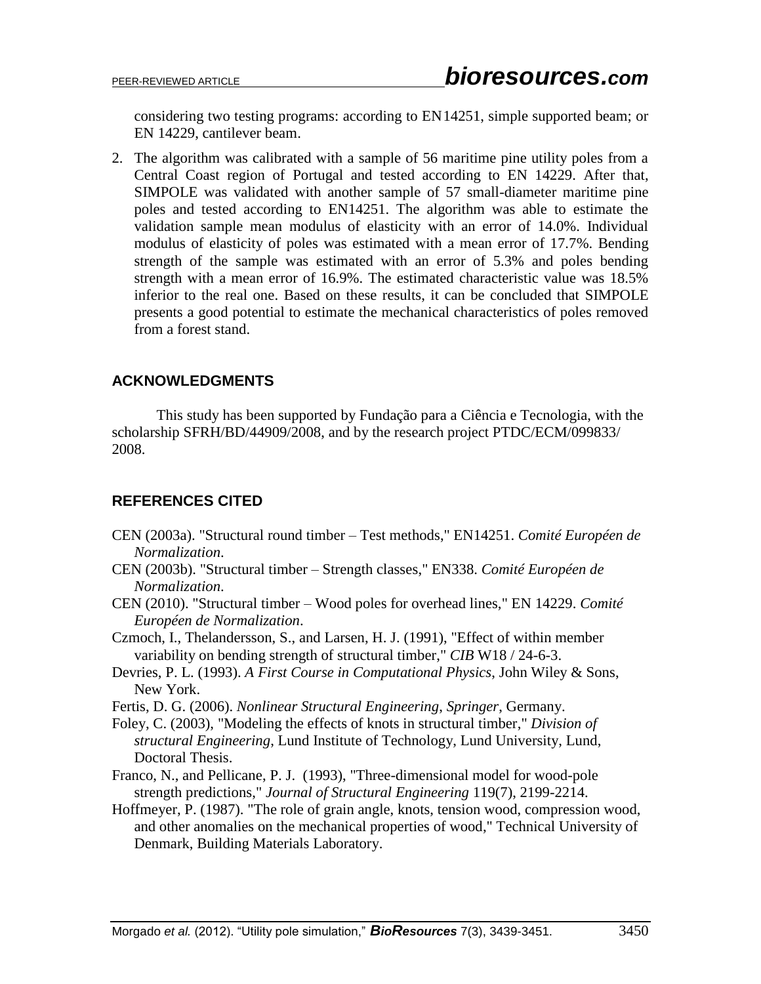considering two testing programs: according to EN14251, simple supported beam; or EN 14229, cantilever beam.

2. The algorithm was calibrated with a sample of 56 maritime pine utility poles from a Central Coast region of Portugal and tested according to EN 14229. After that, SIMPOLE was validated with another sample of 57 small-diameter maritime pine poles and tested according to EN14251. The algorithm was able to estimate the validation sample mean modulus of elasticity with an error of 14.0%. Individual modulus of elasticity of poles was estimated with a mean error of 17.7%. Bending strength of the sample was estimated with an error of 5.3% and poles bending strength with a mean error of 16.9%. The estimated characteristic value was 18.5% inferior to the real one. Based on these results, it can be concluded that SIMPOLE presents a good potential to estimate the mechanical characteristics of poles removed from a forest stand.

## **ACKNOWLEDGMENTS**

This study has been supported by Fundação para a Ciência e Tecnologia, with the scholarship SFRH/BD/44909/2008, and by the research project PTDC/ECM/099833/ 2008.

## **REFERENCES CITED**

- CEN (2003a). "Structural round timber Test methods," EN14251. *Comité Européen de Normalization*.
- CEN (2003b). "Structural timber Strength classes," EN338. *Comité Européen de Normalization*.
- CEN (2010). "Structural timber Wood poles for overhead lines," EN 14229. *Comité Européen de Normalization*.
- Czmoch, I., Thelandersson, S., and Larsen, H. J. (1991), "Effect of within member variability on bending strength of structural timber," *CIB* W18 / 24-6-3.
- Devries, P. L. (1993). *A First Course in Computational Physics*, John Wiley & Sons, New York.
- Fertis, D. G. (2006). *Nonlinear Structural Engineering*, *Springer*, Germany.
- Foley, C. (2003), "Modeling the effects of knots in structural timber," *Division of structural Engineering*, Lund Institute of Technology, Lund University, Lund, Doctoral Thesis.
- Franco, N., and Pellicane, P. J. (1993), "Three-dimensional model for wood-pole strength predictions," *Journal of Structural Engineering* 119(7), 2199-2214.
- Hoffmeyer, P. (1987). "The role of grain angle, knots, tension wood, compression wood, and other anomalies on the mechanical properties of wood," Technical University of Denmark, Building Materials Laboratory.